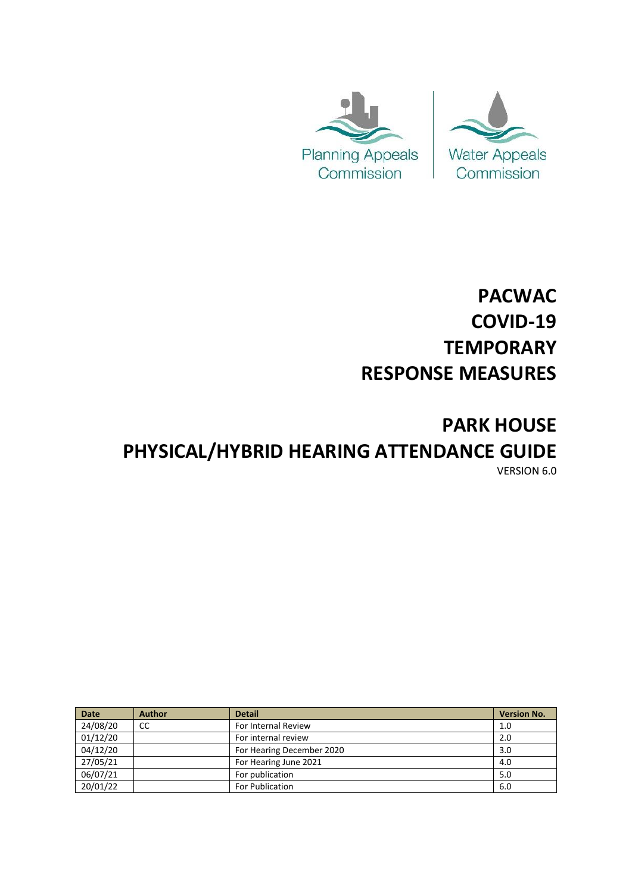



# **PACWAC COVID-19 TEMPORARY RESPONSE MEASURES**

## **PARK HOUSE PHYSICAL/HYBRID HEARING ATTENDANCE GUIDE** VERSION 6.0

| <b>Date</b> | <b>Author</b> | <b>Detail</b>             | <b>Version No.</b> |
|-------------|---------------|---------------------------|--------------------|
| 24/08/20    | CC            | For Internal Review       | 1.0                |
| 01/12/20    |               | For internal review       | 2.0                |
| 04/12/20    |               | For Hearing December 2020 | 3.0                |
| 27/05/21    |               | For Hearing June 2021     | 4.0                |
| 06/07/21    |               | For publication           | 5.0                |
| 20/01/22    |               | For Publication           | 6.0                |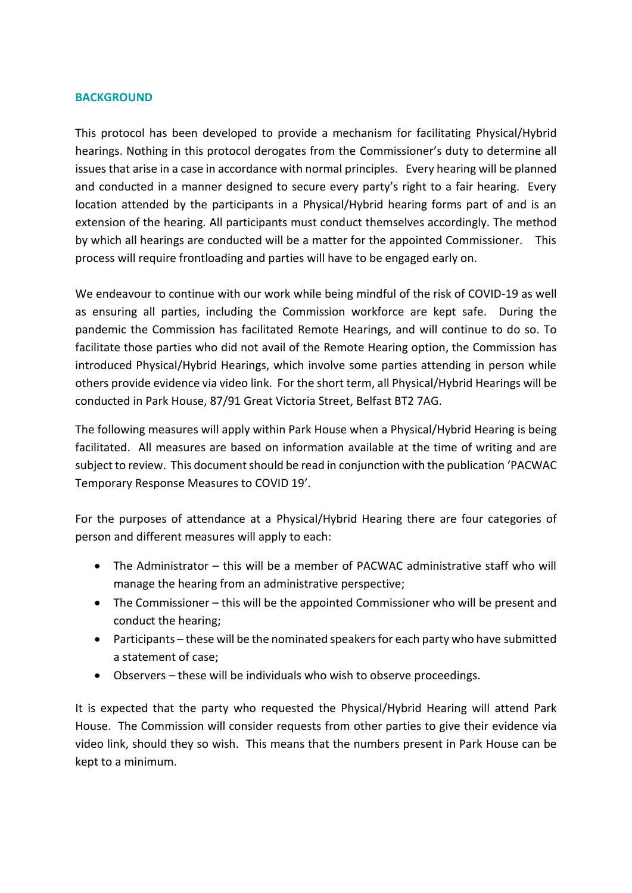#### **BACKGROUND**

This protocol has been developed to provide a mechanism for facilitating Physical/Hybrid hearings. Nothing in this protocol derogates from the Commissioner's duty to determine all issues that arise in a case in accordance with normal principles. Every hearing will be planned and conducted in a manner designed to secure every party's right to a fair hearing. Every location attended by the participants in a Physical/Hybrid hearing forms part of and is an extension of the hearing. All participants must conduct themselves accordingly. The method by which all hearings are conducted will be a matter for the appointed Commissioner. This process will require frontloading and parties will have to be engaged early on.

We endeavour to continue with our work while being mindful of the risk of COVID-19 as well as ensuring all parties, including the Commission workforce are kept safe. During the pandemic the Commission has facilitated Remote Hearings, and will continue to do so. To facilitate those parties who did not avail of the Remote Hearing option, the Commission has introduced Physical/Hybrid Hearings, which involve some parties attending in person while others provide evidence via video link. For the short term, all Physical/Hybrid Hearings will be conducted in Park House, 87/91 Great Victoria Street, Belfast BT2 7AG.

The following measures will apply within Park House when a Physical/Hybrid Hearing is being facilitated. All measures are based on information available at the time of writing and are subject to review. This document should be read in conjunction with the publication 'PACWAC Temporary Response Measures to COVID 19'.

For the purposes of attendance at a Physical/Hybrid Hearing there are four categories of person and different measures will apply to each:

- The Administrator this will be a member of PACWAC administrative staff who will manage the hearing from an administrative perspective;
- The Commissioner this will be the appointed Commissioner who will be present and conduct the hearing;
- Participants these will be the nominated speakers for each party who have submitted a statement of case;
- Observers these will be individuals who wish to observe proceedings.

It is expected that the party who requested the Physical/Hybrid Hearing will attend Park House. The Commission will consider requests from other parties to give their evidence via video link, should they so wish. This means that the numbers present in Park House can be kept to a minimum.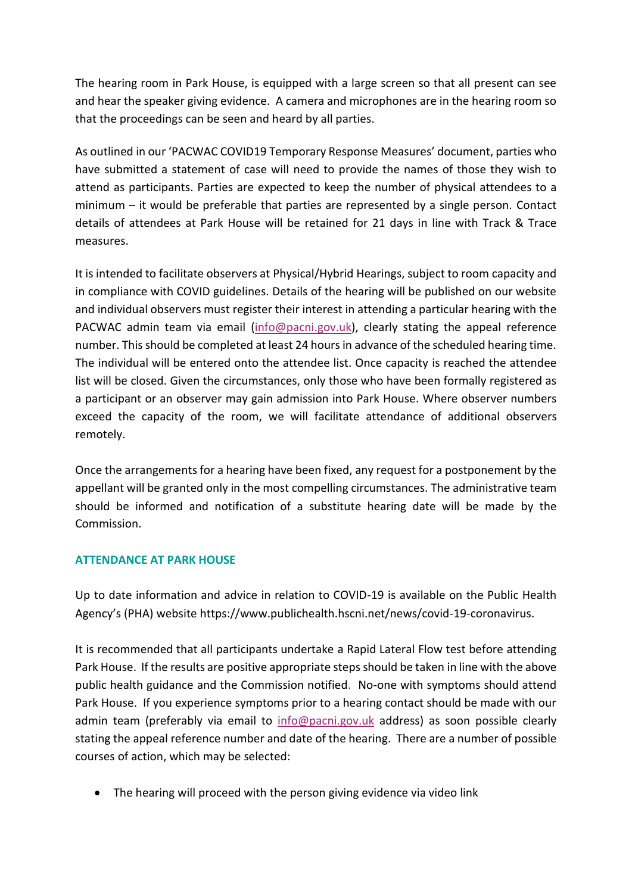The hearing room in Park House, is equipped with a large screen so that all present can see and hear the speaker giving evidence. A camera and microphones are in the hearing room so that the proceedings can be seen and heard by all parties.

As outlined in our 'PACWAC COVID19 Temporary Response Measures' document, parties who have submitted a statement of case will need to provide the names of those they wish to attend as participants. Parties are expected to keep the number of physical attendees to a minimum – it would be preferable that parties are represented by a single person. Contact details of attendees at Park House will be retained for 21 days in line with Track & Trace measures.

It is intended to facilitate observers at Physical/Hybrid Hearings, subject to room capacity and in compliance with COVID guidelines. Details of the hearing will be published on our website and individual observers must register their interest in attending a particular hearing with the PACWAC admin team via email [\(info@pacni.gov.uk\)](mailto:info@pacni.gov.uk), clearly stating the appeal reference number. This should be completed at least 24 hours in advance of the scheduled hearing time. The individual will be entered onto the attendee list. Once capacity is reached the attendee list will be closed. Given the circumstances, only those who have been formally registered as a participant or an observer may gain admission into Park House. Where observer numbers exceed the capacity of the room, we will facilitate attendance of additional observers remotely.

Once the arrangements for a hearing have been fixed, any request for a postponement by the appellant will be granted only in the most compelling circumstances. The administrative team should be informed and notification of a substitute hearing date will be made by the Commission.

#### **ATTENDANCE AT PARK HOUSE**

Up to date information and advice in relation to COVID-19 is available on the Public Health Agency's (PHA) website https://www.publichealth.hscni.net/news/covid-19-coronavirus.

It is recommended that all participants undertake a Rapid Lateral Flow test before attending Park House. If the results are positive appropriate steps should be taken in line with the above public health guidance and the Commission notified. No-one with symptoms should attend Park House. If you experience symptoms prior to a hearing contact should be made with our admin team (preferably via email to [info@pacni.gov.uk](mailto:info@pacni.gov.uk) address) as soon possible clearly stating the appeal reference number and date of the hearing. There are a number of possible courses of action, which may be selected:

• The hearing will proceed with the person giving evidence via video link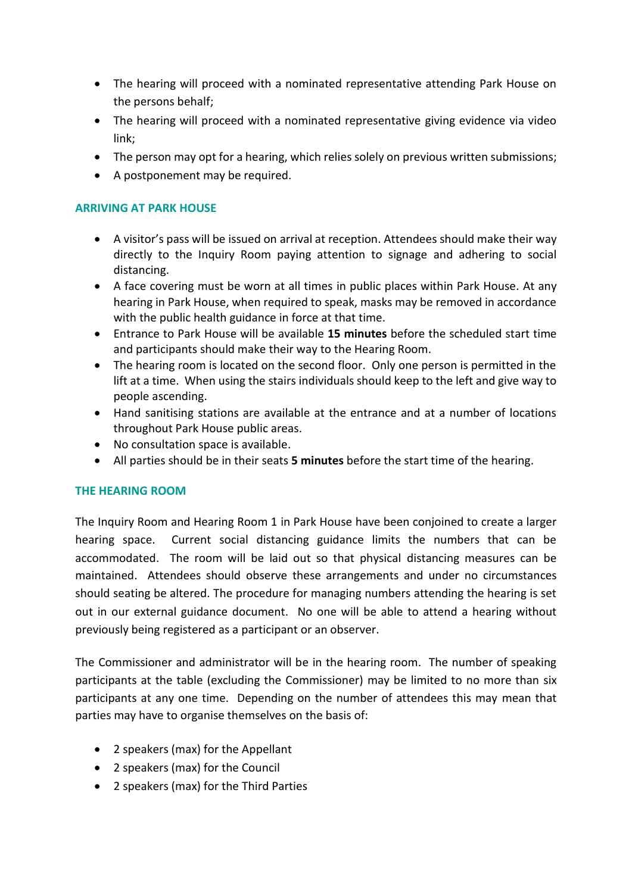- The hearing will proceed with a nominated representative attending Park House on the persons behalf;
- The hearing will proceed with a nominated representative giving evidence via video link;
- The person may opt for a hearing, which relies solely on previous written submissions;
- A postponement may be required.

#### **ARRIVING AT PARK HOUSE**

- A visitor's pass will be issued on arrival at reception. Attendees should make their way directly to the Inquiry Room paying attention to signage and adhering to social distancing.
- A face covering must be worn at all times in public places within Park House. At any hearing in Park House, when required to speak, masks may be removed in accordance with the public health guidance in force at that time.
- Entrance to Park House will be available **15 minutes** before the scheduled start time and participants should make their way to the Hearing Room.
- The hearing room is located on the second floor. Only one person is permitted in the lift at a time. When using the stairs individuals should keep to the left and give way to people ascending.
- Hand sanitising stations are available at the entrance and at a number of locations throughout Park House public areas.
- No consultation space is available.
- All parties should be in their seats **5 minutes** before the start time of the hearing.

#### **THE HEARING ROOM**

The Inquiry Room and Hearing Room 1 in Park House have been conjoined to create a larger hearing space. Current social distancing guidance limits the numbers that can be accommodated. The room will be laid out so that physical distancing measures can be maintained. Attendees should observe these arrangements and under no circumstances should seating be altered. The procedure for managing numbers attending the hearing is set out in our external guidance document. No one will be able to attend a hearing without previously being registered as a participant or an observer.

The Commissioner and administrator will be in the hearing room. The number of speaking participants at the table (excluding the Commissioner) may be limited to no more than six participants at any one time. Depending on the number of attendees this may mean that parties may have to organise themselves on the basis of:

- 2 speakers (max) for the Appellant
- 2 speakers (max) for the Council
- 2 speakers (max) for the Third Parties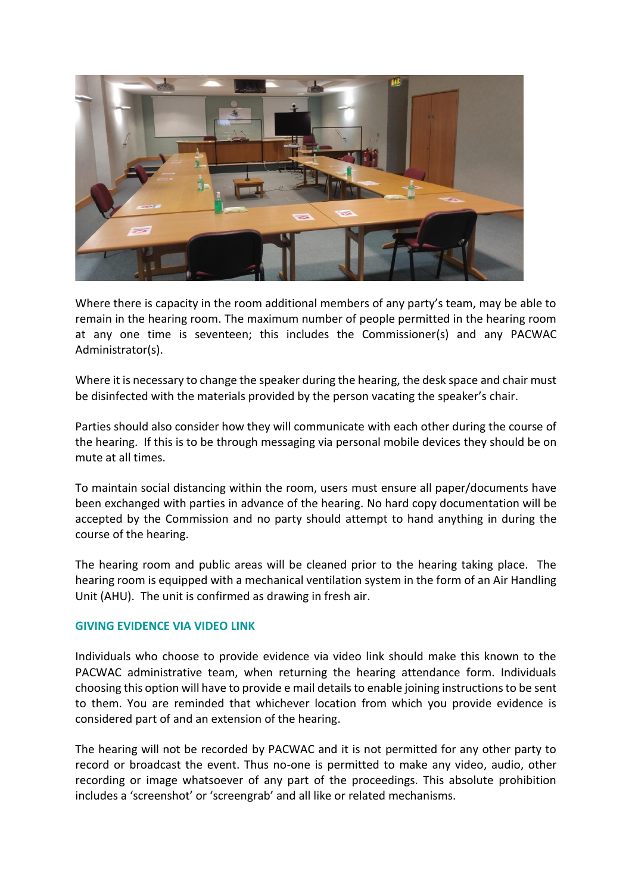

Where there is capacity in the room additional members of any party's team, may be able to remain in the hearing room. The maximum number of people permitted in the hearing room at any one time is seventeen; this includes the Commissioner(s) and any PACWAC Administrator(s).

Where it is necessary to change the speaker during the hearing, the desk space and chair must be disinfected with the materials provided by the person vacating the speaker's chair.

Parties should also consider how they will communicate with each other during the course of the hearing. If this is to be through messaging via personal mobile devices they should be on mute at all times.

To maintain social distancing within the room, users must ensure all paper/documents have been exchanged with parties in advance of the hearing. No hard copy documentation will be accepted by the Commission and no party should attempt to hand anything in during the course of the hearing.

The hearing room and public areas will be cleaned prior to the hearing taking place. The hearing room is equipped with a mechanical ventilation system in the form of an Air Handling Unit (AHU). The unit is confirmed as drawing in fresh air.

#### **GIVING EVIDENCE VIA VIDEO LINK**

Individuals who choose to provide evidence via video link should make this known to the PACWAC administrative team, when returning the hearing attendance form. Individuals choosing this option will have to provide e mail details to enable joining instructions to be sent to them. You are reminded that whichever location from which you provide evidence is considered part of and an extension of the hearing.

The hearing will not be recorded by PACWAC and it is not permitted for any other party to record or broadcast the event. Thus no-one is permitted to make any video, audio, other recording or image whatsoever of any part of the proceedings. This absolute prohibition includes a 'screenshot' or 'screengrab' and all like or related mechanisms.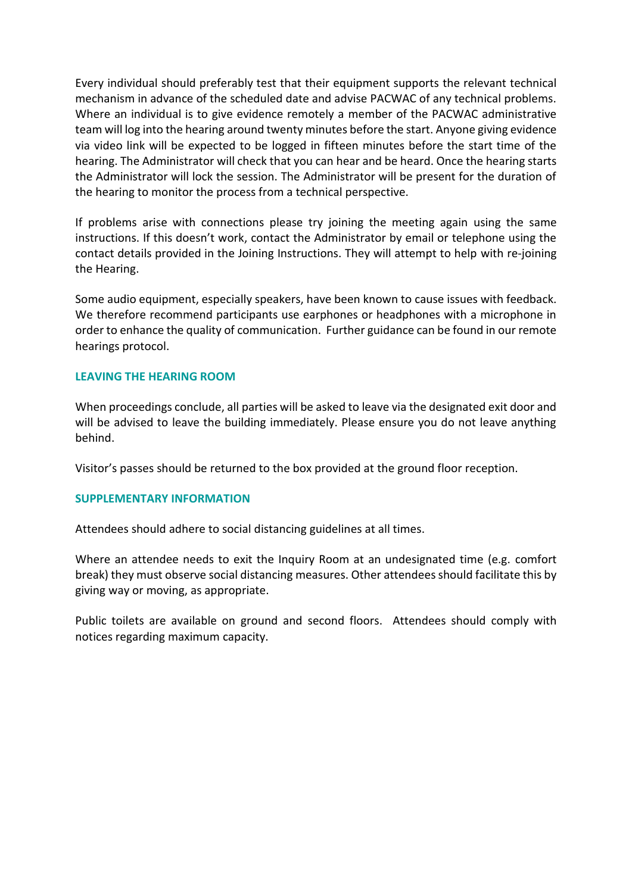Every individual should preferably test that their equipment supports the relevant technical mechanism in advance of the scheduled date and advise PACWAC of any technical problems. Where an individual is to give evidence remotely a member of the PACWAC administrative team will log into the hearing around twenty minutes before the start. Anyone giving evidence via video link will be expected to be logged in fifteen minutes before the start time of the hearing. The Administrator will check that you can hear and be heard. Once the hearing starts the Administrator will lock the session. The Administrator will be present for the duration of the hearing to monitor the process from a technical perspective.

If problems arise with connections please try joining the meeting again using the same instructions. If this doesn't work, contact the Administrator by email or telephone using the contact details provided in the Joining Instructions. They will attempt to help with re-joining the Hearing.

Some audio equipment, especially speakers, have been known to cause issues with feedback. We therefore recommend participants use earphones or headphones with a microphone in order to enhance the quality of communication. Further guidance can be found in our remote hearings protocol.

#### **LEAVING THE HEARING ROOM**

When proceedings conclude, all parties will be asked to leave via the designated exit door and will be advised to leave the building immediately. Please ensure you do not leave anything behind.

Visitor's passes should be returned to the box provided at the ground floor reception.

#### **SUPPLEMENTARY INFORMATION**

Attendees should adhere to social distancing guidelines at all times.

Where an attendee needs to exit the Inquiry Room at an undesignated time (e.g. comfort break) they must observe social distancing measures. Other attendees should facilitate this by giving way or moving, as appropriate.

Public toilets are available on ground and second floors. Attendees should comply with notices regarding maximum capacity.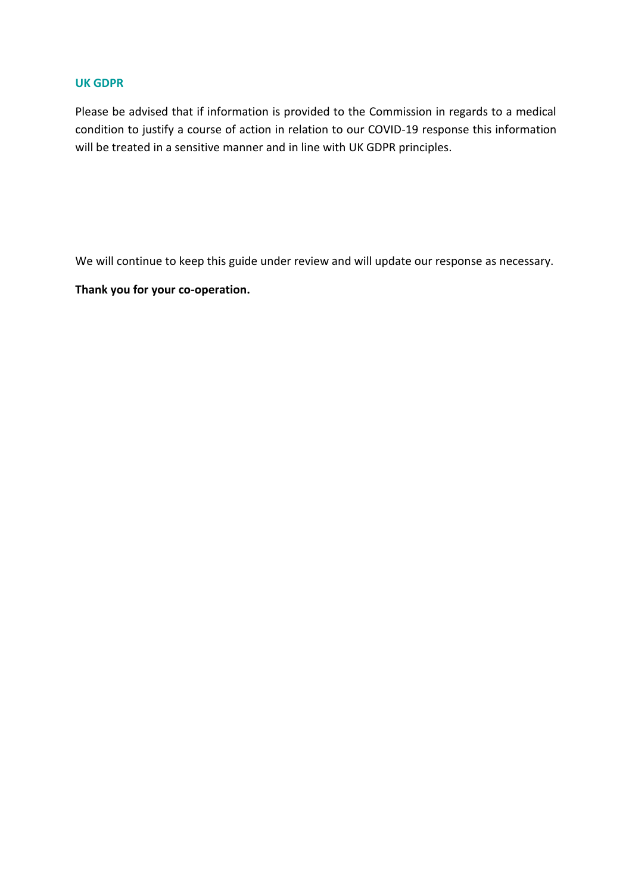#### **UK GDPR**

Please be advised that if information is provided to the Commission in regards to a medical condition to justify a course of action in relation to our COVID-19 response this information will be treated in a sensitive manner and in line with UK GDPR principles.

We will continue to keep this guide under review and will update our response as necessary.

**Thank you for your co-operation.**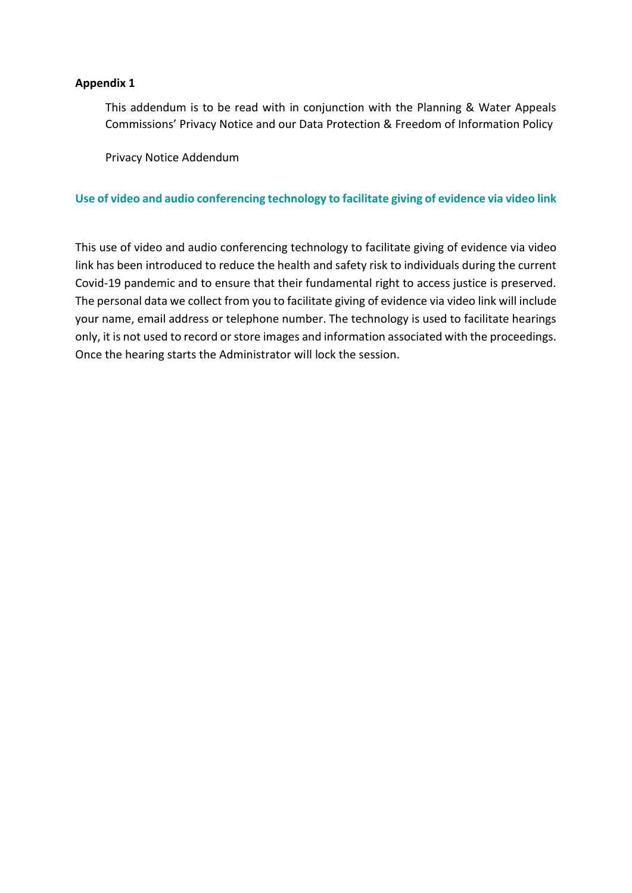#### **Appendix 1**

This addendum is to be read with in conjunction with the Planning & Water Appeals Commissions' Privacy Notice and our Data Protection & Freedom of Information Policy

Privacy Notice Addendum

#### **Use of video and audio conferencing technology to facilitate giving of evidence via video link**

This use of video and audio conferencing technology to facilitate giving of evidence via video link has been introduced to reduce the health and safety risk to individuals during the current Covid-19 pandemic and to ensure that their fundamental right to access justice is preserved. The personal data we collect from you to facilitate giving of evidence via video link will include your name, email address or telephone number. The technology is used to facilitate hearings only, it is not used to record or store images and information associated with the proceedings. Once the hearing starts the Administrator will lock the session.